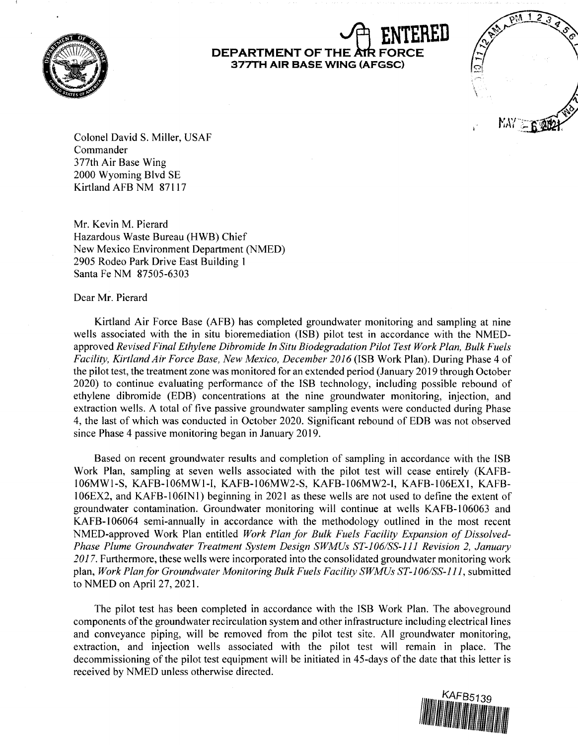

## **DEPARTMENT OF THE AIR F 377TH AIR BASE WING (AFGSC)**



Colonel David S. Miller, USAF Commander 3 77th Air Base Wing 2000 Wyoming Blvd SE Kirtland AFB NM 87117

Mr. Kevin M. Pierard Hazardous Waste Bureau (HWB) Chief New Mexico Environment Department (NMED) 2905 Rodeo Park Drive East Building 1 Santa Fe NM 87505-6303

Dear Mr. Pierard

Kirtland Air Force Base (AFB) has completed groundwater monitoring and sampling at nine wells associated with the in situ bioremediation (ISB) pilot test in accordance with the NMEDapproved *Revised Final Ethylene Dibromide In Situ Biodegradation Pilot Test Work Plan, Bulk Fuels Facility, Kirtland Air Force Base, New Mexico, December 2016* (!SB Work Plan). During Phase 4 of the pilot test, the treatment zone was monitored for an extended period (January 2019 through October 2020) to continue evaluating performance of the ISB technology, including possible rebound of ethylene dibromide (EDB) concentrations at the nine groundwater monitoring, injection, and extraction wells. A total of five passive groundwater sampling events were conducted during Phase 4, the last of which was conducted in October 2020. Significant rebound of EDB was not observed since Phase 4 passive monitoring began in January 2019.

Based on recent groundwater results and completion of sampling in accordance with the !SB Work Plan, sampling at seven wells associated with the pilot test will cease entirely (KAFBl 06MW1-S, KAFB-106MW1-I, KAFB-106MW2-S, KAFB-106MW2-l, KAFB-106EX1, KAFB-106EX2, and KAFB-1061N 1) beginning in 2021 as these wells are not used to define the extent of groundwater contamination. Groundwater monitoring will continue at wells KAFB-106063 and KAFB-106064 semi-annually in accordance with the methodology outlined in the most recent NMED-approved Work Plan entitled *Work Plan for Bulk Fuels Facility Expansion of Dissolved-Phase Plume Groundwater Treatment System Design SWMUs ST-106/SS-ll l Revision 2, January*  2017. Furthermore, these wells were incorporated into the consolidated groundwater monitoring work plan, *Work Plan for Groundwater Monitoring Bulk Fuels Facility SWMUs ST-106/SS-111,* submitted to NMED on April 27, 2021.

The pilot test has been completed in accordance with the ISB Work Plan. The aboveground components of the groundwater recirculation system and other infrastructure including electrical lines and conveyance piping, will be removed from the pilot test site. All groundwater monitoring, extraction, and injection wells associated with the pilot test will remain in place. The decommissioning of the pilot test equipment will be initiated in 45-days of the date that this letter is received by NMED unless otherwise directed.